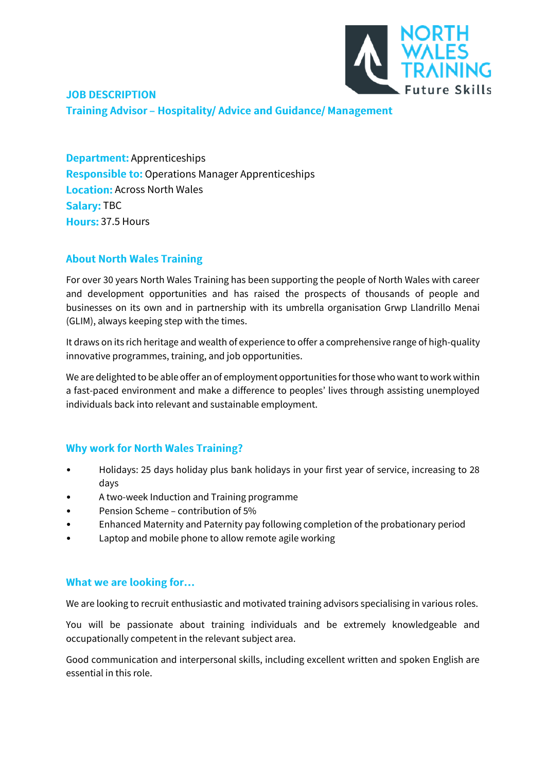

# **JOB DESCRIPTION Training Advisor - Hospitality/ Advice and Guidance/ Management**

**Department: Apprenticeships Responsible to: Operations Manager Apprenticeships Location: Across North Wales Salary: TBC** Hours: 37.5 Hours

#### **About North Wales Training**

For over 30 years North Wales Training has been supporting the people of North Wales with career and development opportunities and has raised the prospects of thousands of people and businesses on its own and in partnership with its umbrella organisation Grwp Llandrillo Menai (GLIM), always keeping step with the times.

It draws on its rich heritage and wealth of experience to offer a comprehensive range of high-quality innovative programmes, training, and job opportunities.

We are delighted to be able offer an of employment opportunities for those who want to work within a fast-paced environment and make a difference to peoples' lives through assisting unemployed individuals back into relevant and sustainable employment.

#### **Why work for North Wales Training?**

- Holidays: 25 days holiday plus bank holidays in your first year of service, increasing to 28 days
- A two-week Induction and Training programme
- Pension Scheme contribution of 5%
- Enhanced Maternity and Paternity pay following completion of the probationary period
- Laptop and mobile phone to allow remote agile working

## What we are looking for...

We are looking to recruit enthusiastic and motivated training advisors specialising in various roles.

You will be passionate about training individuals and be extremely knowledgeable and occupationally competent in the relevant subject area.

Good communication and interpersonal skills, including excellent written and spoken English are essential in this role.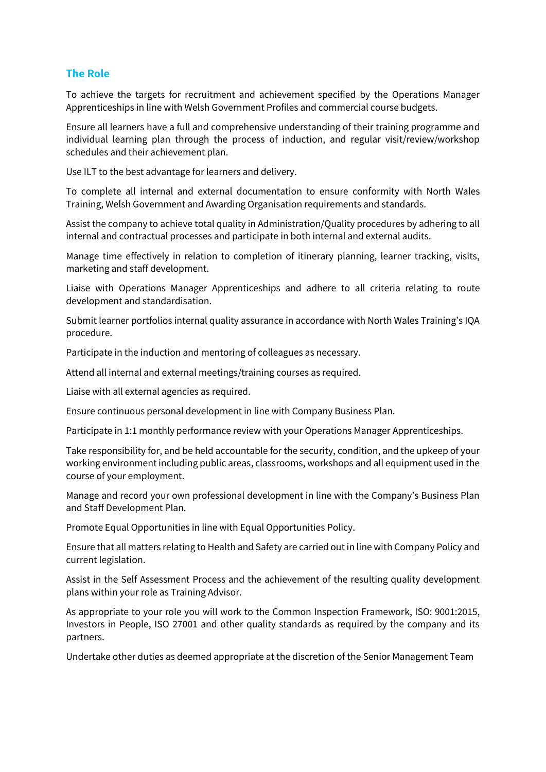#### **The Role**

To achieve the targets for recruitment and achievement specified by the Operations Manager Apprenticeships in line with Welsh Government Profiles and commercial course budgets.

Ensure all learners have a full and comprehensive understanding of their training programme and individual learning plan through the process of induction, and regular visit/review/workshop schedules and their achievement plan.

Use ILT to the best advantage for learners and delivery.

To complete all internal and external documentation to ensure conformity with North Wales Training, Welsh Government and Awarding Organisation requirements and standards.

Assist the company to achieve total quality in Administration/Quality procedures by adhering to all internal and contractual processes and participate in both internal and external audits.

Manage time effectively in relation to completion of itinerary planning, learner tracking, visits, marketing and staff development.

Liaise with Operations Manager Apprenticeships and adhere to all criteria relating to route development and standardisation.

Submit learner portfolios internal quality assurance in accordance with North Wales Training's IQA procedure.

Participate in the induction and mentoring of colleagues as necessary.

Attend all internal and external meetings/training courses as required.

Liaise with all external agencies as required.

Ensure continuous personal development in line with Company Business Plan.

Participate in 1:1 monthly performance review with your Operations Manager Apprenticeships.

Take responsibility for, and be held accountable for the security, condition, and the upkeep of your working environment including public areas, classrooms, workshops and all equipment used in the course of your employment.

Manage and record your own professional development in line with the Company's Business Plan and Staff Development Plan.

Promote Equal Opportunities in line with Equal Opportunities Policy.

Ensure that all matters relating to Health and Safety are carried out in line with Company Policy and current legislation.

Assist in the Self Assessment Process and the achievement of the resulting quality development plans within your role as Training Advisor.

As appropriate to your role you will work to the Common Inspection Framework, ISO: 9001:2015, Investors in People, ISO 27001 and other quality standards as required by the company and its partners.

Undertake other duties as deemed appropriate at the discretion of the Senior Management Team